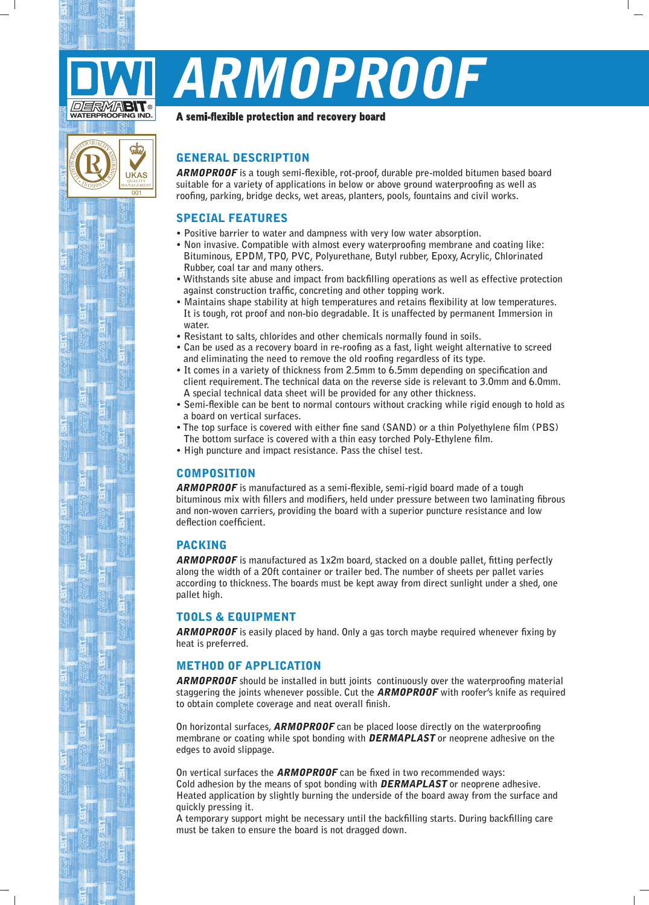

۸ 0 $\sqrt{\frac{20}{9}}$ 

 $\left( \begin{matrix} 0 \end{matrix} \right)$ 

 $\overline{00}$ 

UKAS QUALITY MANAGEMENT

ക

# ARMOPROOF

#### A semi-flexible protection and recovery board

# **GENERAL DESCRIPTION**

**ARMOPROOF** is a tough semi-flexible, rot-proof, durable pre-molded bitumen based board suitable for a variety of applications in below or above ground waterproofing as well as roofing, parking, bridge decks, wet areas, planters, pools, fountains and civil works.

# **SPECIAL FEATURES**

- **.** Positive barrier to water and dampness with very low water absorption.
- Non invasive. Compatible with almost every waterproofing membrane and coating like: Bituminous, EPDM, TPO, PVC, Polyurethane, Butyl rubber, Epoxy, Acrylic, Chlorinated Rubber, coal tar and many others.
- Withstands site abuse and impact from backfilling operations as well as effective protection against construction traffic, concreting and other topping work.
- Maintains shape stability at high temperatures and retains flexibility at low temperatures. It is tough, rot proof and non-bio degradable. It is unaffected by permanent Immersion in **.water**
- Resistant to salts, chlorides and other chemicals normally found in soils.
- Can be used as a recovery board in re-roofing as a fast, light weight alternative to screed and eliminating the need to remove the old roofing regardless of its type.
- It comes in a variety of thickness from 2.5 mm to 6.5 mm depending on specification and client requirement. The technical data on the reverse side is relevant to 3.0mm and 6.0mm. A special technical data sheet will be provided for any other thickness.
- Semi-flexible can be bent to normal contours without cracking while rigid enough to hold as a board on vertical surfaces.
- The top surface is covered with either fine sand (SAND) or a thin Polyethylene film (PBS) The bottom surface is covered with a thin easy torched Poly-Ethylene film.
- High puncture and impact resistance. Pass the chisel test.

### **COMPOSITION**

**ARMOPROOF** is manufactured as a semi-flexible, semi-rigid board made of a tough bituminous mix with fillers and modifiers, held under pressure between two laminating fibrous and non-woven carriers, providing the board with a superior puncture resistance and low **.coefficient deflection**

#### PACKING

**ARMOPROOF** is manufactured as 1x2m board, stacked on a double pallet, fitting perfectly along the width of a 20ft container or trailer bed. The number of sheets per pallet varies according to thickness. The boards must be kept away from direct sunlight under a shed, one pallet high.

#### **TOOLS & EQUIPMENT**

**ARMOPROOF** is easily placed by hand. Only a gas torch maybe required whenever fixing by heat is preferred.

#### **METHOD OF APPLICATION**

**ARMOPROOF** should be installed in butt joints continuously over the waterproofing material staggering the joints whenever possible. Cut the **ARMOPROOF** with roofer's knife as required to obtain complete coverage and neat overall finish.

**On horizontal surfaces. ARMOPROOF** can be placed loose directly on the waterproofing  **the only in additional the one of the operator in the property of the space with the membrane or the membrane** edges to avoid slippage.

On vertical surfaces the **ARMOPROOF** can be fixed in two recommended ways: Cold adhesion by the means of spot bonding with **DERMAPLAST** or neoprene adhesive. Heated application by slightly burning the underside of the board away from the surface and **auickly** pressing it.

A temporary support might be necessary until the backfilling starts. During backfilling care must be taken to ensure the board is not dragged down.